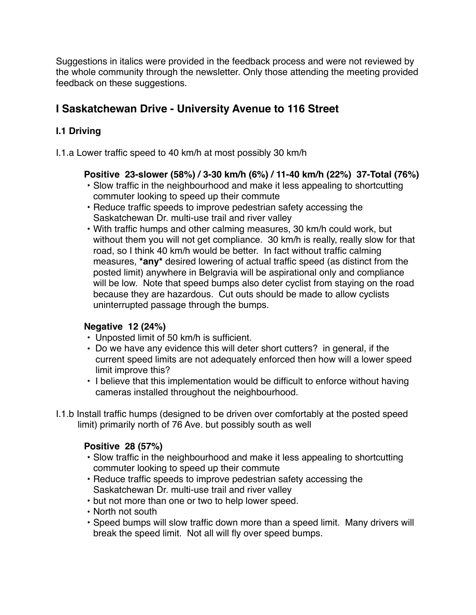Suggestions in italics were provided in the feedback process and were not reviewed by the whole community through the newsletter. Only those attending the meeting provided feedback on these suggestions.

# **I Saskatchewan Drive - University Avenue to 116 Street**

# **I.1 Driving**

I.1.a Lower traffic speed to 40 km/h at most possibly 30 km/h

# **Positive 23-slower (58%) / 3-30 km/h (6%) / 11-40 km/h (22%) 37-Total (76%)**

- Slow traffic in the neighbourhood and make it less appealing to shortcutting commuter looking to speed up their commute
- Reduce traffic speeds to improve pedestrian safety accessing the Saskatchewan Dr. multi-use trail and river valley
- With traffic humps and other calming measures, 30 km/h could work, but without them you will not get compliance. 30 km/h is really, really slow for that road, so I think 40 km/h would be better. In fact without traffic calming measures, **\*any\*** desired lowering of actual traffic speed (as distinct from the posted limit) anywhere in Belgravia will be aspirational only and compliance will be low. Note that speed bumps also deter cyclist from staying on the road because they are hazardous. Cut outs should be made to allow cyclists uninterrupted passage through the bumps.

# **Negative 12 (24%)**

- Unposted limit of 50 km/h is sufficient.
- Do we have any evidence this will deter short cutters? in general, if the current speed limits are not adequately enforced then how will a lower speed limit improve this?
- I believe that this implementation would be difficult to enforce without having cameras installed throughout the neighbourhood.
- I.1.b Install traffic humps (designed to be driven over comfortably at the posted speed limit) primarily north of 76 Ave. but possibly south as well

# **Positive 28 (57%)**

- Slow traffic in the neighbourhood and make it less appealing to shortcutting commuter looking to speed up their commute
- Reduce traffic speeds to improve pedestrian safety accessing the Saskatchewan Dr. multi-use trail and river valley
- but not more than one or two to help lower speed.
- North not south
- Speed bumps will slow traffic down more than a speed limit. Many drivers will break the speed limit. Not all will fly over speed bumps.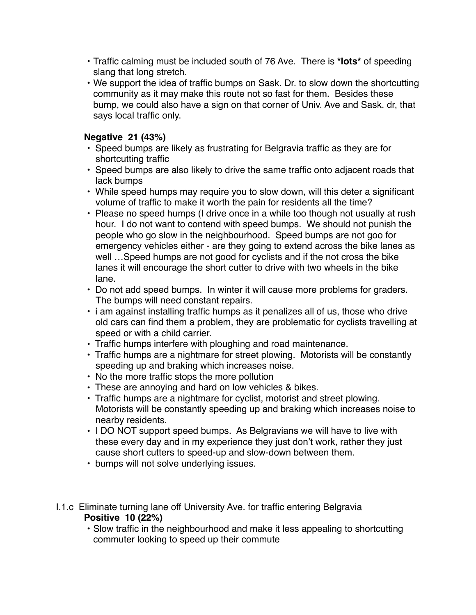- Traffic calming must be included south of 76 Ave. There is **\*lots\*** of speeding slang that long stretch.
- We support the idea of traffic bumps on Sask. Dr. to slow down the shortcutting community as it may make this route not so fast for them. Besides these bump, we could also have a sign on that corner of Univ. Ave and Sask. dr, that says local traffic only.

# **Negative 21 (43%)**

- Speed bumps are likely as frustrating for Belgravia traffic as they are for shortcutting traffic
- Speed bumps are also likely to drive the same traffic onto adjacent roads that lack bumps
- While speed humps may require you to slow down, will this deter a significant volume of traffic to make it worth the pain for residents all the time?
- Please no speed humps (I drive once in a while too though not usually at rush hour. I do not want to contend with speed bumps. We should not punish the people who go slow in the neighbourhood. Speed bumps are not goo for emergency vehicles either - are they going to extend across the bike lanes as well …Speed humps are not good for cyclists and if the not cross the bike lanes it will encourage the short cutter to drive with two wheels in the bike lane.
- Do not add speed bumps. In winter it will cause more problems for graders. The bumps will need constant repairs.
- i am against installing traffic humps as it penalizes all of us, those who drive old cars can find them a problem, they are problematic for cyclists travelling at speed or with a child carrier.
- Traffic humps interfere with ploughing and road maintenance.
- Traffic humps are a nightmare for street plowing. Motorists will be constantly speeding up and braking which increases noise.
- No the more traffic stops the more pollution
- These are annoying and hard on low vehicles & bikes.
- Traffic humps are a nightmare for cyclist, motorist and street plowing. Motorists will be constantly speeding up and braking which increases noise to nearby residents.
- I DO NOT support speed bumps. As Belgravians we will have to live with these every day and in my experience they just don't work, rather they just cause short cutters to speed-up and slow-down between them.
- bumps will not solve underlying issues.
- I.1.c Eliminate turning lane off University Ave. for traffic entering Belgravia **Positive 10 (22%)**
	- Slow traffic in the neighbourhood and make it less appealing to shortcutting commuter looking to speed up their commute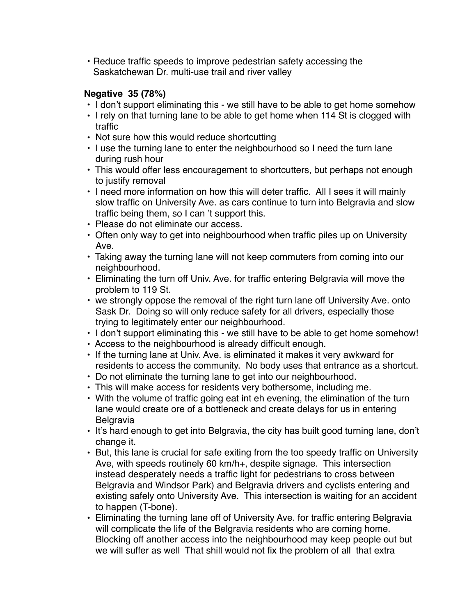• Reduce traffic speeds to improve pedestrian safety accessing the Saskatchewan Dr. multi-use trail and river valley

# **Negative 35 (78%)**

- I don't support eliminating this we still have to be able to get home somehow
- I rely on that turning lane to be able to get home when 114 St is clogged with traffic
- Not sure how this would reduce shortcutting
- I use the turning lane to enter the neighbourhood so I need the turn lane during rush hour
- This would offer less encouragement to shortcutters, but perhaps not enough to justify removal
- I need more information on how this will deter traffic. All I sees it will mainly slow traffic on University Ave. as cars continue to turn into Belgravia and slow traffic being them, so I can 't support this.
- Please do not eliminate our access.
- Often only way to get into neighbourhood when traffic piles up on University Ave.
- Taking away the turning lane will not keep commuters from coming into our neighbourhood.
- Eliminating the turn off Univ. Ave. for traffic entering Belgravia will move the problem to 119 St.
- we strongly oppose the removal of the right turn lane off University Ave. onto Sask Dr. Doing so will only reduce safety for all drivers, especially those trying to legitimately enter our neighbourhood.
- I don't support eliminating this we still have to be able to get home somehow!
- Access to the neighbourhood is already difficult enough.
- If the turning lane at Univ. Ave. is eliminated it makes it very awkward for residents to access the community. No body uses that entrance as a shortcut.
- Do not eliminate the turning lane to get into our neighbourhood.
- This will make access for residents very bothersome, including me.
- With the volume of traffic going eat int eh evening, the elimination of the turn lane would create ore of a bottleneck and create delays for us in entering Belgravia
- It's hard enough to get into Belgravia, the city has built good turning lane, don't change it.
- But, this lane is crucial for safe exiting from the too speedy traffic on University Ave, with speeds routinely 60 km/h+, despite signage. This intersection instead desperately needs a traffic light for pedestrians to cross between Belgravia and Windsor Park) and Belgravia drivers and cyclists entering and existing safely onto University Ave. This intersection is waiting for an accident to happen (T-bone).
- Eliminating the turning lane off of University Ave. for traffic entering Belgravia will complicate the life of the Belgravia residents who are coming home. Blocking off another access into the neighbourhood may keep people out but we will suffer as well That shill would not fix the problem of all that extra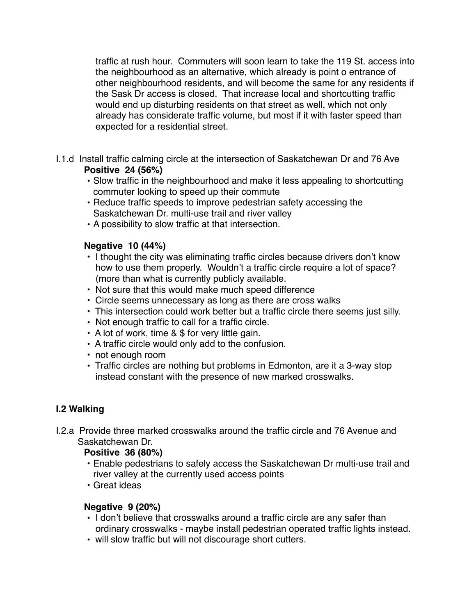traffic at rush hour. Commuters will soon learn to take the 119 St. access into the neighbourhood as an alternative, which already is point o entrance of other neighbourhood residents, and will become the same for any residents if the Sask Dr access is closed. That increase local and shortcutting traffic would end up disturbing residents on that street as well, which not only already has considerate traffic volume, but most if it with faster speed than expected for a residential street.

- I.1.d Install traffic calming circle at the intersection of Saskatchewan Dr and 76 Ave **Positive 24 (56%)**
	- Slow traffic in the neighbourhood and make it less appealing to shortcutting commuter looking to speed up their commute
	- Reduce traffic speeds to improve pedestrian safety accessing the Saskatchewan Dr. multi-use trail and river valley
	- A possibility to slow traffic at that intersection.

# **Negative 10 (44%)**

- I thought the city was eliminating traffic circles because drivers don't know how to use them properly. Wouldn't a traffic circle require a lot of space? (more than what is currently publicly available.
- Not sure that this would make much speed difference
- Circle seems unnecessary as long as there are cross walks
- This intersection could work better but a traffic circle there seems just silly.
- Not enough traffic to call for a traffic circle.
- A lot of work, time & \$ for very little gain.
- A traffic circle would only add to the confusion.
- not enough room
- Traffic circles are nothing but problems in Edmonton, are it a 3-way stop instead constant with the presence of new marked crosswalks.

# **I.2 Walking**

I.2.a Provide three marked crosswalks around the traffic circle and 76 Avenue and Saskatchewan Dr.

# **Positive 36 (80%)**

- Enable pedestrians to safely access the Saskatchewan Dr multi-use trail and river valley at the currently used access points
- Great ideas

# **Negative 9 (20%)**

- I don't believe that crosswalks around a traffic circle are any safer than ordinary crosswalks - maybe install pedestrian operated traffic lights instead.
- will slow traffic but will not discourage short cutters.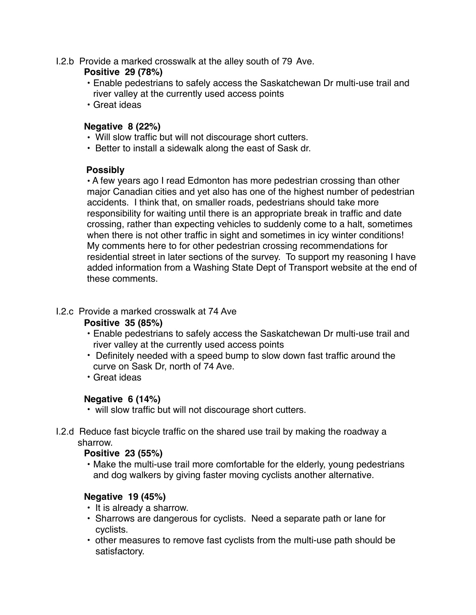I.2.b Provide a marked crosswalk at the alley south of 79 Ave.

# **Positive 29 (78%)**

- Enable pedestrians to safely access the Saskatchewan Dr multi-use trail and river valley at the currently used access points
- Great ideas

# **Negative 8 (22%)**

- Will slow traffic but will not discourage short cutters.
- Better to install a sidewalk along the east of Sask dr.

## **Possibly**

• A few years ago I read Edmonton has more pedestrian crossing than other major Canadian cities and yet also has one of the highest number of pedestrian accidents. I think that, on smaller roads, pedestrians should take more responsibility for waiting until there is an appropriate break in traffic and date crossing, rather than expecting vehicles to suddenly come to a halt, sometimes when there is not other traffic in sight and sometimes in icy winter conditions! My comments here to for other pedestrian crossing recommendations for residential street in later sections of the survey. To support my reasoning I have added information from a Washing State Dept of Transport website at the end of these comments.

# I.2.c Provide a marked crosswalk at 74 Ave

# **Positive 35 (85%)**

- Enable pedestrians to safely access the Saskatchewan Dr multi-use trail and river valley at the currently used access points
- Definitely needed with a speed bump to slow down fast traffic around the curve on Sask Dr, north of 74 Ave.
- Great ideas

# **Negative 6 (14%)**

- will slow traffic but will not discourage short cutters.
- I.2.d Reduce fast bicycle traffic on the shared use trail by making the roadway a sharrow.

# **Positive 23 (55%)**

• Make the multi-use trail more comfortable for the elderly, young pedestrians and dog walkers by giving faster moving cyclists another alternative.

# **Negative 19 (45%)**

- It is already a sharrow.
- Sharrows are dangerous for cyclists. Need a separate path or lane for cyclists.
- other measures to remove fast cyclists from the multi-use path should be satisfactory.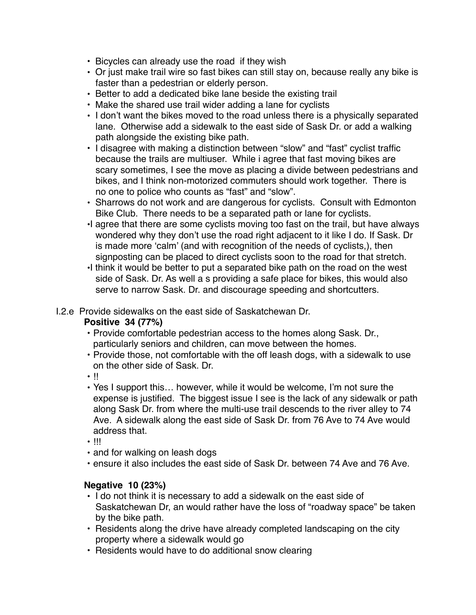- Bicycles can already use the road if they wish
- Or just make trail wire so fast bikes can still stay on, because really any bike is faster than a pedestrian or elderly person.
- Better to add a dedicated bike lane beside the existing trail
- Make the shared use trail wider adding a lane for cyclists
- I don't want the bikes moved to the road unless there is a physically separated lane. Otherwise add a sidewalk to the east side of Sask Dr. or add a walking path alongside the existing bike path.
- I disagree with making a distinction between "slow" and "fast" cyclist traffic because the trails are multiuser. While i agree that fast moving bikes are scary sometimes, I see the move as placing a divide between pedestrians and bikes, and I think non-motorized commuters should work together. There is no one to police who counts as "fast" and "slow".
- Sharrows do not work and are dangerous for cyclists. Consult with Edmonton Bike Club. There needs to be a separated path or lane for cyclists.
- •I agree that there are some cyclists moving too fast on the trail, but have always wondered why they don't use the road right adjacent to it like I do. If Sask. Dr is made more 'calm' (and with recognition of the needs of cyclists,), then signposting can be placed to direct cyclists soon to the road for that stretch.
- •I think it would be better to put a separated bike path on the road on the west side of Sask. Dr. As well a s providing a safe place for bikes, this would also serve to narrow Sask. Dr. and discourage speeding and shortcutters.

I.2.e Provide sidewalks on the east side of Saskatchewan Dr.

# **Positive 34 (77%)**

- Provide comfortable pedestrian access to the homes along Sask. Dr., particularly seniors and children, can move between the homes.
- Provide those, not comfortable with the off leash dogs, with a sidewalk to use on the other side of Sask. Dr.
- !!
- Yes I support this… however, while it would be welcome, I'm not sure the expense is justified. The biggest issue I see is the lack of any sidewalk or path along Sask Dr. from where the multi-use trail descends to the river alley to 74 Ave. A sidewalk along the east side of Sask Dr. from 76 Ave to 74 Ave would address that.
- $\cdot$  !!!
- and for walking on leash dogs
- ensure it also includes the east side of Sask Dr. between 74 Ave and 76 Ave.

# **Negative 10 (23%)**

- I do not think it is necessary to add a sidewalk on the east side of Saskatchewan Dr, an would rather have the loss of "roadway space" be taken by the bike path.
- Residents along the drive have already completed landscaping on the city property where a sidewalk would go
- Residents would have to do additional snow clearing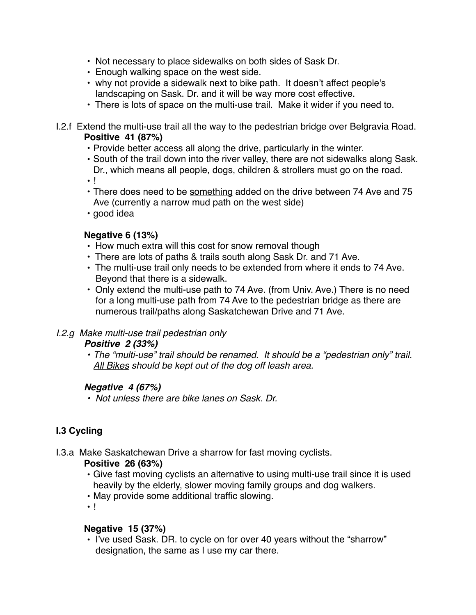- Not necessary to place sidewalks on both sides of Sask Dr.
- Enough walking space on the west side.
- why not provide a sidewalk next to bike path. It doesn't affect people's landscaping on Sask. Dr. and it will be way more cost effective.
- There is lots of space on the multi-use trail. Make it wider if you need to.
- I.2.f Extend the multi-use trail all the way to the pedestrian bridge over Belgravia Road. **Positive 41 (87%)**
	- Provide better access all along the drive, particularly in the winter.
	- South of the trail down into the river valley, there are not sidewalks along Sask. Dr., which means all people, dogs, children & strollers must go on the road.

• !

- There does need to be something added on the drive between 74 Ave and 75 Ave (currently a narrow mud path on the west side)
- good idea

# **Negative 6 (13%)**

- How much extra will this cost for snow removal though
- There are lots of paths & trails south along Sask Dr. and 71 Ave.
- The multi-use trail only needs to be extended from where it ends to 74 Ave. Beyond that there is a sidewalk.
- Only extend the multi-use path to 74 Ave. (from Univ. Ave.) There is no need for a long multi-use path from 74 Ave to the pedestrian bridge as there are numerous trail/paths along Saskatchewan Drive and 71 Ave.

# *I.2.g Make multi-use trail pedestrian only*

## *Positive 2 (33%)*

*• The "multi-use" trail should be renamed. It should be a "pedestrian only" trail. All Bikes should be kept out of the dog off leash area.*

# *Negative 4 (67%)*

*• Not unless there are bike lanes on Sask. Dr.*

# **I.3 Cycling**

I.3.a Make Saskatchewan Drive a sharrow for fast moving cyclists.

# **Positive 26 (63%)**

- Give fast moving cyclists an alternative to using multi-use trail since it is used heavily by the elderly, slower moving family groups and dog walkers.
- May provide some additional traffic slowing.
- !

## **Negative 15 (37%)**

• I've used Sask. DR. to cycle on for over 40 years without the "sharrow" designation, the same as I use my car there.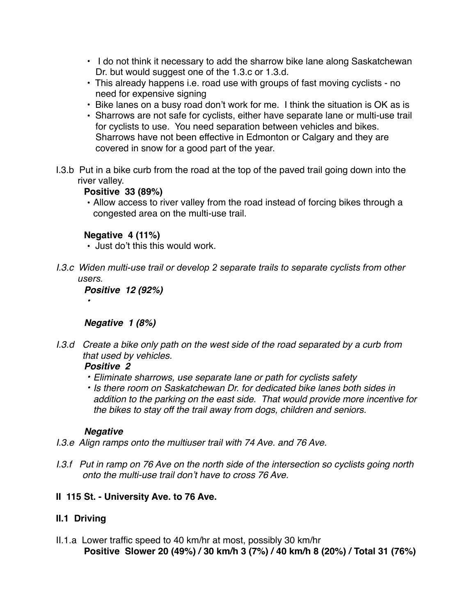- I do not think it necessary to add the sharrow bike lane along Saskatchewan Dr. but would suggest one of the 1.3.c or 1.3.d.
- This already happens i.e. road use with groups of fast moving cyclists no need for expensive signing
- Bike lanes on a busy road don't work for me. I think the situation is OK as is
- Sharrows are not safe for cyclists, either have separate lane or multi-use trail for cyclists to use. You need separation between vehicles and bikes. Sharrows have not been effective in Edmonton or Calgary and they are covered in snow for a good part of the year.
- I.3.b Put in a bike curb from the road at the top of the paved trail going down into the river valley.

# **Positive 33 (89%)**

• Allow access to river valley from the road instead of forcing bikes through a congested area on the multi-use trail.

# **Negative 4 (11%)**

- Just do't this this would work.
- *I.3.c Widen multi-use trail or develop 2 separate trails to separate cyclists from other users.*

*Positive 12 (92%)*

# *Negative 1 (8%)*

*I.3.d Create a bike only path on the west side of the road separated by a curb from that used by vehicles.*

# *Positive 2*

*•*

- *• Eliminate sharrows, use separate lane or path for cyclists safety*
- *• Is there room on Saskatchewan Dr. for dedicated bike lanes both sides in addition to the parking on the east side. That would provide more incentive for the bikes to stay off the trail away from dogs, children and seniors.*

# *Negative*

- *I.3.e Align ramps onto the multiuser trail with 74 Ave. and 76 Ave.*
- *I.3.f Put in ramp on 76 Ave on the north side of the intersection so cyclists going north onto the multi-use trail don't have to cross 76 Ave.*

# **II 115 St. - University Ave. to 76 Ave.**

# **II.1 Driving**

II.1.a Lower traffic speed to 40 km/hr at most, possibly 30 km/hr **Positive Slower 20 (49%) / 30 km/h 3 (7%) / 40 km/h 8 (20%) / Total 31 (76%)**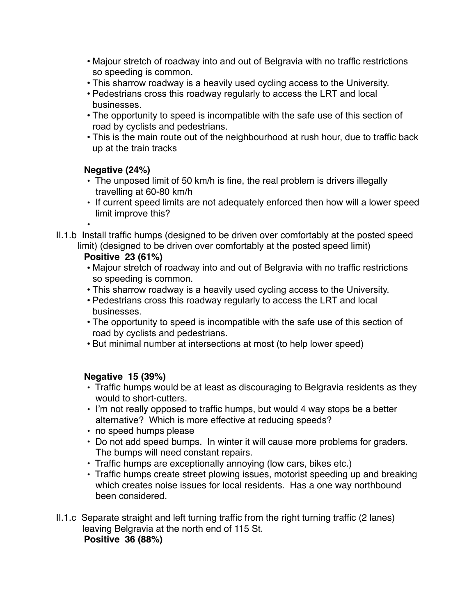- Majour stretch of roadway into and out of Belgravia with no traffic restrictions so speeding is common.
- This sharrow roadway is a heavily used cycling access to the University.
- Pedestrians cross this roadway regularly to access the LRT and local businesses.
- The opportunity to speed is incompatible with the safe use of this section of road by cyclists and pedestrians.
- This is the main route out of the neighbourhood at rush hour, due to traffic back up at the train tracks

# **Negative (24%)**

- The unposed limit of 50 km/h is fine, the real problem is drivers illegally travelling at 60-80 km/h
- If current speed limits are not adequately enforced then how will a lower speed limit improve this?

• II.1.b Install traffic humps (designed to be driven over comfortably at the posted speed limit) (designed to be driven over comfortably at the posted speed limit)

# **Positive 23 (61%)**

- Majour stretch of roadway into and out of Belgravia with no traffic restrictions so speeding is common.
- This sharrow roadway is a heavily used cycling access to the University.
- Pedestrians cross this roadway regularly to access the LRT and local businesses.
- The opportunity to speed is incompatible with the safe use of this section of road by cyclists and pedestrians.
- But minimal number at intersections at most (to help lower speed)

# **Negative 15 (39%)**

- Traffic humps would be at least as discouraging to Belgravia residents as they would to short-cutters.
- I'm not really opposed to traffic humps, but would 4 way stops be a better alternative? Which is more effective at reducing speeds?
- no speed humps please
- Do not add speed bumps. In winter it will cause more problems for graders. The bumps will need constant repairs.
- Traffic humps are exceptionally annoying (low cars, bikes etc.)
- Traffic humps create street plowing issues, motorist speeding up and breaking which creates noise issues for local residents. Has a one way northbound been considered.
- II.1.c Separate straight and left turning traffic from the right turning traffic (2 lanes) leaving Belgravia at the north end of 115 St. **Positive 36 (88%)**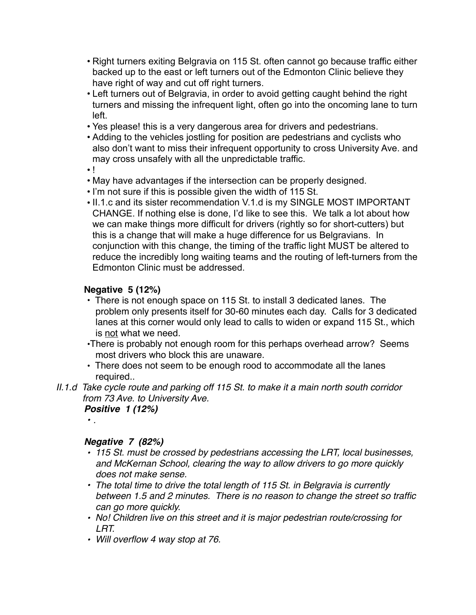- Right turners exiting Belgravia on 115 St. often cannot go because traffic either backed up to the east or left turners out of the Edmonton Clinic believe they have right of way and cut off right turners.
- Left turners out of Belgravia, in order to avoid getting caught behind the right turners and missing the infrequent light, often go into the oncoming lane to turn left.
- Yes please! this is a very dangerous area for drivers and pedestrians.
- Adding to the vehicles jostling for position are pedestrians and cyclists who also don't want to miss their infrequent opportunity to cross University Ave. and may cross unsafely with all the unpredictable traffic.

• !

- May have advantages if the intersection can be properly designed.
- I'm not sure if this is possible given the width of 115 St.
- II.1.c and its sister recommendation V.1.d is my SINGLE MOST IMPORTANT CHANGE. If nothing else is done, I'd like to see this. We talk a lot about how we can make things more difficult for drivers (rightly so for short-cutters) but this is a change that will make a huge difference for us Belgravians. In conjunction with this change, the timing of the traffic light MUST be altered to reduce the incredibly long waiting teams and the routing of left-turners from the Edmonton Clinic must be addressed.

# **Negative 5 (12%)**

- There is not enough space on 115 St. to install 3 dedicated lanes. The problem only presents itself for 30-60 minutes each day. Calls for 3 dedicated lanes at this corner would only lead to calls to widen or expand 115 St., which is not what we need.
- •There is probably not enough room for this perhaps overhead arrow? Seems most drivers who block this are unaware.
- There does not seem to be enough rood to accommodate all the lanes required..
- *II.1.d Take cycle route and parking off 115 St. to make it a main north south corridor from 73 Ave. to University Ave.*

*Positive 1 (12%)*

*• .*

## *Negative 7 (82%)*

- *115 St. must be crossed by pedestrians accessing the LRT, local businesses, and McKernan School, clearing the way to allow drivers to go more quickly does not make sense.*
- *The total time to drive the total length of 115 St. in Belgravia is currently between 1.5 and 2 minutes. There is no reason to change the street so traffic can go more quickly.*
- *No! Children live on this street and it is major pedestrian route/crossing for LRT.*
- *Will overflow 4 way stop at 76.*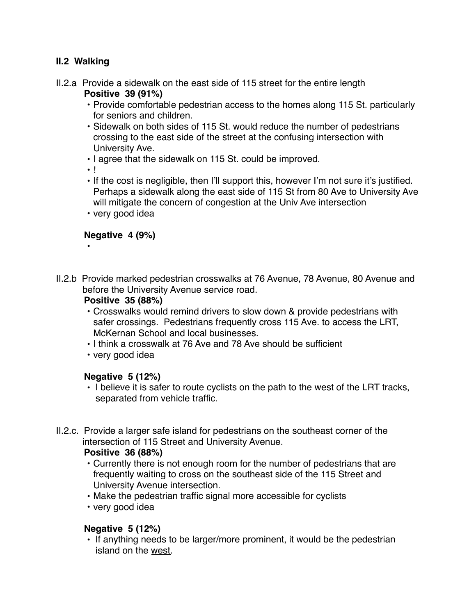# **II.2 Walking**

- II.2.a Provide a sidewalk on the east side of 115 street for the entire length **Positive 39 (91%)**
	- Provide comfortable pedestrian access to the homes along 115 St. particularly for seniors and children.
	- Sidewalk on both sides of 115 St. would reduce the number of pedestrians crossing to the east side of the street at the confusing intersection with University Ave.
	- I agree that the sidewalk on 115 St. could be improved.
	- !

•

- If the cost is negligible, then I'll support this, however I'm not sure it's justified. Perhaps a sidewalk along the east side of 115 St from 80 Ave to University Ave will mitigate the concern of congestion at the Univ Ave intersection
- very good idea

## **Negative 4 (9%)**

II.2.b Provide marked pedestrian crosswalks at 76 Avenue, 78 Avenue, 80 Avenue and before the University Avenue service road.

## **Positive 35 (88%)**

- Crosswalks would remind drivers to slow down & provide pedestrians with safer crossings. Pedestrians frequently cross 115 Ave. to access the LRT, McKernan School and local businesses.
- I think a crosswalk at 76 Ave and 78 Ave should be sufficient
- very good idea

# **Negative 5 (12%)**

- I believe it is safer to route cyclists on the path to the west of the LRT tracks, separated from vehicle traffic.
- II.2.c. Provide a larger safe island for pedestrians on the southeast corner of the intersection of 115 Street and University Avenue.

## **Positive 36 (88%)**

- Currently there is not enough room for the number of pedestrians that are frequently waiting to cross on the southeast side of the 115 Street and University Avenue intersection.
- Make the pedestrian traffic signal more accessible for cyclists
- very good idea

# **Negative 5 (12%)**

• If anything needs to be larger/more prominent, it would be the pedestrian island on the west.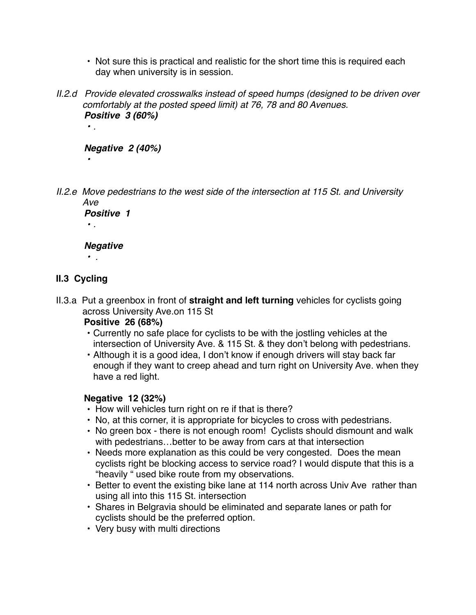- Not sure this is practical and realistic for the short time this is required each day when university is in session.
- *II.2.d Provide elevated crosswalks instead of speed humps (designed to be driven over comfortably at the posted speed limit) at 76, 78 and 80 Avenues. Positive 3 (60%)*

## *Negative 2 (40%)*

*II.2.e Move pedestrians to the west side of the intersection at 115 St. and University Ave*

*Positive 1 • .*

## *Negative*

*• .*

*• .*

*•* 

# **II.3 Cycling**

II.3.a Put a greenbox in front of **straight and left turning** vehicles for cyclists going across University Ave.on 115 St

## **Positive 26 (68%)**

- Currently no safe place for cyclists to be with the jostling vehicles at the intersection of University Ave. & 115 St. & they don't belong with pedestrians.
- Although it is a good idea, I don't know if enough drivers will stay back far enough if they want to creep ahead and turn right on University Ave. when they have a red light.

## **Negative 12 (32%)**

- How will vehicles turn right on re if that is there?
- No, at this corner, it is appropriate for bicycles to cross with pedestrians.
- No green box there is not enough room! Cyclists should dismount and walk with pedestrians…better to be away from cars at that intersection
- Needs more explanation as this could be very congested. Does the mean cyclists right be blocking access to service road? I would dispute that this is a "heavily " used bike route from my observations.
- Better to event the existing bike lane at 114 north across Univ Ave rather than using all into this 115 St. intersection
- Shares in Belgravia should be eliminated and separate lanes or path for cyclists should be the preferred option.
- Very busy with multi directions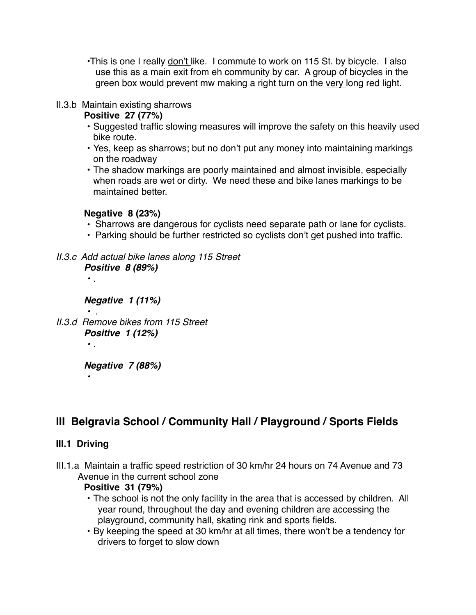•This is one I really don't like. I commute to work on 115 St. by bicycle. I also use this as a main exit from eh community by car. A group of bicycles in the green box would prevent mw making a right turn on the very long red light.

## II.3.b Maintain existing sharrows

# **Positive 27 (77%)**

- Suggested traffic slowing measures will improve the safety on this heavily used bike route.
- Yes, keep as sharrows; but no don't put any money into maintaining markings on the roadway
- The shadow markings are poorly maintained and almost invisible, especially when roads are wet or dirty. We need these and bike lanes markings to be maintained better.

# **Negative 8 (23%)**

- Sharrows are dangerous for cyclists need separate path or lane for cyclists.
- Parking should be further restricted so cyclists don't get pushed into traffic.

# *II.3.c Add actual bike lanes along 115 Street*

*Positive 8 (89%)*

*• .*

*• .*

*•* 

*Negative 1 (11%)*

*• . II.3.d Remove bikes from 115 Street Positive 1 (12%)*

*Negative 7 (88%)*

# **III Belgravia School / Community Hall / Playground / Sports Fields**

# **III.1 Driving**

III.1.a Maintain a traffic speed restriction of 30 km/hr 24 hours on 74 Avenue and 73 Avenue in the current school zone

## **Positive 31 (79%)**

- The school is not the only facility in the area that is accessed by children. All year round, throughout the day and evening children are accessing the playground, community hall, skating rink and sports fields.
- By keeping the speed at 30 km/hr at all times, there won't be a tendency for drivers to forget to slow down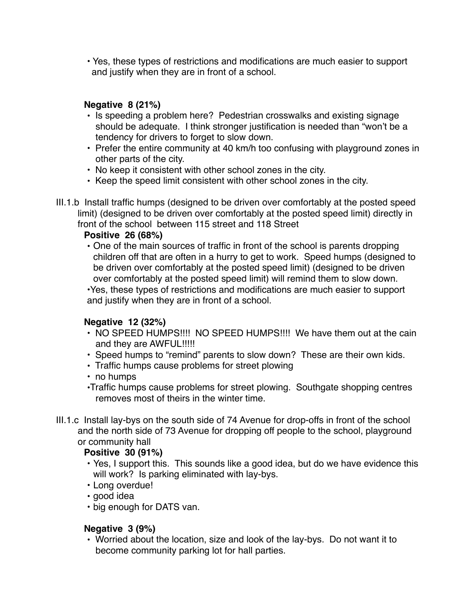• Yes, these types of restrictions and modifications are much easier to support and justify when they are in front of a school.

# **Negative 8 (21%)**

- Is speeding a problem here? Pedestrian crosswalks and existing signage should be adequate. I think stronger justification is needed than "won't be a tendency for drivers to forget to slow down.
- Prefer the entire community at 40 km/h too confusing with playground zones in other parts of the city.
- No keep it consistent with other school zones in the city.
- Keep the speed limit consistent with other school zones in the city.
- III.1.b Install traffic humps (designed to be driven over comfortably at the posted speed limit) (designed to be driven over comfortably at the posted speed limit) directly in front of the school between 115 street and 118 Street

# **Positive 26 (68%)**

• One of the main sources of traffic in front of the school is parents dropping children off that are often in a hurry to get to work. Speed humps (designed to be driven over comfortably at the posted speed limit) (designed to be driven over comfortably at the posted speed limit) will remind them to slow down.

•Yes, these types of restrictions and modifications are much easier to support and justify when they are in front of a school.

# **Negative 12 (32%)**

- NO SPEED HUMPS!!!! NO SPEED HUMPS!!!! We have them out at the cain and they are AWFUL!!!!!
- Speed humps to "remind" parents to slow down? These are their own kids.
- Traffic humps cause problems for street plowing
- no humps
- •Traffic humps cause problems for street plowing. Southgate shopping centres removes most of theirs in the winter time.
- III.1.c Install lay-bys on the south side of 74 Avenue for drop-offs in front of the school and the north side of 73 Avenue for dropping off people to the school, playground or community hall

# **Positive 30 (91%)**

- Yes, I support this. This sounds like a good idea, but do we have evidence this will work? Is parking eliminated with lay-bys.
- Long overdue!
- good idea
- big enough for DATS van.

# **Negative 3 (9%)**

• Worried about the location, size and look of the lay-bys. Do not want it to become community parking lot for hall parties.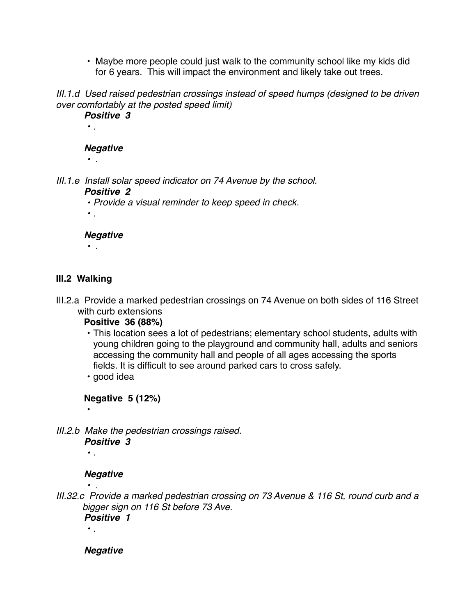• Maybe more people could just walk to the community school like my kids did for 6 years. This will impact the environment and likely take out trees.

*III.1.d Used raised pedestrian crossings instead of speed humps (designed to be driven over comfortably at the posted speed limit)*

*Positive 3 • . Negative • .*

*III.1.e Install solar speed indicator on 74 Avenue by the school. Positive 2*

*• Provide a visual reminder to keep speed in check.*

*• .*

## *Negative*

*• .*

# **III.2 Walking**

- III.2.a Provide a marked pedestrian crossings on 74 Avenue on both sides of 116 Street with curb extensions
	- **Positive 36 (88%)**
	- This location sees a lot of pedestrians; elementary school students, adults with young children going to the playground and community hall, adults and seniors accessing the community hall and people of all ages accessing the sports fields. It is difficult to see around parked cars to cross safely.

• good idea

**Negative 5 (12%)**

*III.2.b Make the pedestrian crossings raised. Positive 3*

*• .*

•

# *Negative*

*• .*

*• .*

*III.32.c Provide a marked pedestrian crossing on 73 Avenue & 116 St, round curb and a bigger sign on 116 St before 73 Ave.*

*Positive 1*

*Negative*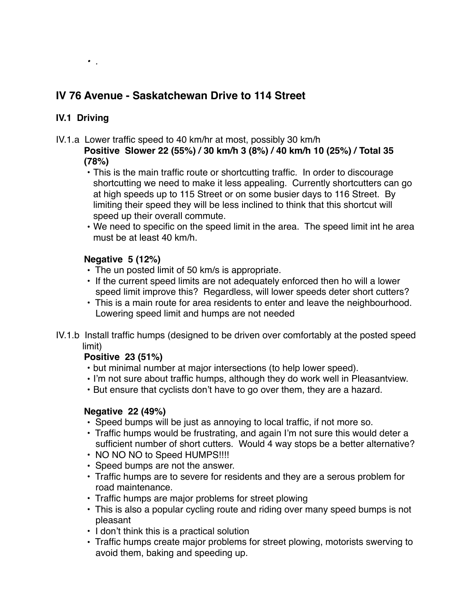# **IV 76 Avenue - Saskatchewan Drive to 114 Street**

# **IV.1 Driving**

*• .*

- IV.1.a Lower traffic speed to 40 km/hr at most, possibly 30 km/h
	- **Positive Slower 22 (55%) / 30 km/h 3 (8%) / 40 km/h 10 (25%) / Total 35 (78%)**
		- This is the main traffic route or shortcutting traffic. In order to discourage shortcutting we need to make it less appealing. Currently shortcutters can go at high speeds up to 115 Street or on some busier days to 116 Street. By limiting their speed they will be less inclined to think that this shortcut will speed up their overall commute.
		- We need to specific on the speed limit in the area. The speed limit int he area must be at least 40 km/h.

# **Negative 5 (12%)**

- The un posted limit of 50 km/s is appropriate.
- If the current speed limits are not adequately enforced then ho will a lower speed limit improve this? Regardless, will lower speeds deter short cutters?
- This is a main route for area residents to enter and leave the neighbourhood. Lowering speed limit and humps are not needed
- IV.1.b Install traffic humps (designed to be driven over comfortably at the posted speed limit)

# **Positive 23 (51%)**

- but minimal number at major intersections (to help lower speed).
- I'm not sure about traffic humps, although they do work well in Pleasantview.
- But ensure that cyclists don't have to go over them, they are a hazard.

# **Negative 22 (49%)**

- Speed bumps will be just as annoying to local traffic, if not more so.
- Traffic humps would be frustrating, and again I'm not sure this would deter a sufficient number of short cutters. Would 4 way stops be a better alternative?
- NO NO NO to Speed HUMPS!!!!
- Speed bumps are not the answer.
- Traffic humps are to severe for residents and they are a serous problem for road maintenance.
- Traffic humps are major problems for street plowing
- This is also a popular cycling route and riding over many speed bumps is not pleasant
- I don't think this is a practical solution
- Traffic humps create major problems for street plowing, motorists swerving to avoid them, baking and speeding up.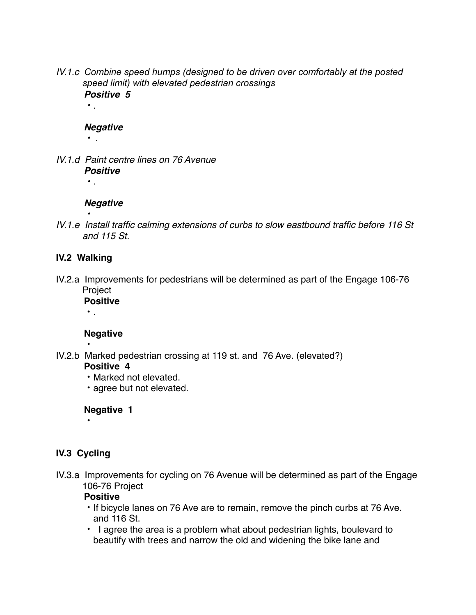*IV.1.c Combine speed humps (designed to be driven over comfortably at the posted speed limit) with elevated pedestrian crossings Positive 5*

## *Negative*

*• .*

*• .*

*IV.1.d Paint centre lines on 76 Avenue Positive • .*

## *Negative*

*• IV.1.e Install traffic calming extensions of curbs to slow eastbound traffic before 116 St and 115 St.* 

## **IV.2 Walking**

IV.2.a Improvements for pedestrians will be determined as part of the Engage 106-76 Project

**Positive** • .

## **Negative**

• IV.2.b Marked pedestrian crossing at 119 st. and 76 Ave. (elevated?)

#### **Positive 4**

- Marked not elevated.
- agree but not elevated.

## **Negative 1**

•

# **IV.3 Cycling**

IV.3.a Improvements for cycling on 76 Avenue will be determined as part of the Engage 106-76 Project

## **Positive**

- If bicycle lanes on 76 Ave are to remain, remove the pinch curbs at 76 Ave. and 116 St.
- I agree the area is a problem what about pedestrian lights, boulevard to beautify with trees and narrow the old and widening the bike lane and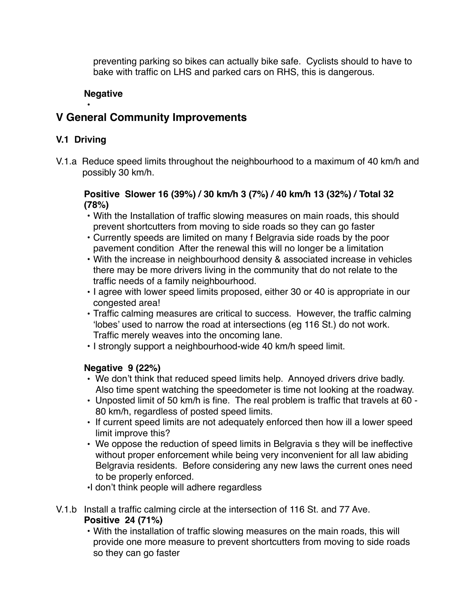preventing parking so bikes can actually bike safe. Cyclists should to have to bake with traffic on LHS and parked cars on RHS, this is dangerous.

## **Negative**

# **V General Community Improvements**

## **V.1 Driving**

•

V.1.a Reduce speed limits throughout the neighbourhood to a maximum of 40 km/h and possibly 30 km/h.

## **Positive Slower 16 (39%) / 30 km/h 3 (7%) / 40 km/h 13 (32%) / Total 32 (78%)**

- With the Installation of traffic slowing measures on main roads, this should prevent shortcutters from moving to side roads so they can go faster
- Currently speeds are limited on many f Belgravia side roads by the poor pavement condition After the renewal this will no longer be a limitation
- With the increase in neighbourhood density & associated increase in vehicles there may be more drivers living in the community that do not relate to the traffic needs of a family neighbourhood.
- I agree with lower speed limits proposed, either 30 or 40 is appropriate in our congested area!
- Traffic calming measures are critical to success. However, the traffic calming 'lobes' used to narrow the road at intersections (eg 116 St.) do not work. Traffic merely weaves into the oncoming lane.
- I strongly support a neighbourhood-wide 40 km/h speed limit.

# **Negative 9 (22%)**

- We don't think that reduced speed limits help. Annoyed drivers drive badly. Also time spent watching the speedometer is time not looking at the roadway.
- Unposted limit of 50 km/h is fine. The real problem is traffic that travels at 60 80 km/h, regardless of posted speed limits.
- If current speed limits are not adequately enforced then how ill a lower speed limit improve this?
- We oppose the reduction of speed limits in Belgravia s they will be ineffective without proper enforcement while being very inconvenient for all law abiding Belgravia residents. Before considering any new laws the current ones need to be properly enforced.
- •I don't think people will adhere regardless
- V.1.b Install a traffic calming circle at the intersection of 116 St. and 77 Ave. **Positive 24 (71%)**
	- With the installation of traffic slowing measures on the main roads, this will provide one more measure to prevent shortcutters from moving to side roads so they can go faster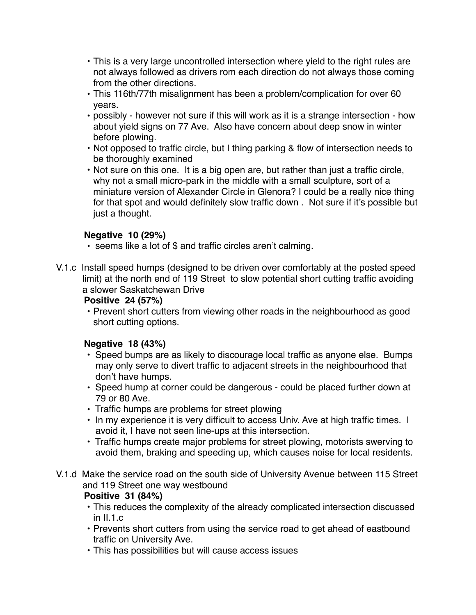- This is a very large uncontrolled intersection where yield to the right rules are not always followed as drivers rom each direction do not always those coming from the other directions.
- This 116th/77th misalignment has been a problem/complication for over 60 years.
- possibly however not sure if this will work as it is a strange intersection how about yield signs on 77 Ave. Also have concern about deep snow in winter before plowing.
- Not opposed to traffic circle, but I thing parking & flow of intersection needs to be thoroughly examined
- Not sure on this one. It is a big open are, but rather than just a traffic circle, why not a small micro-park in the middle with a small sculpture, sort of a miniature version of Alexander Circle in Glenora? I could be a really nice thing for that spot and would definitely slow traffic down . Not sure if it's possible but just a thought.

# **Negative 10 (29%)**

- seems like a lot of \$ and traffic circles aren't calming.
- V.1.c Install speed humps (designed to be driven over comfortably at the posted speed limit) at the north end of 119 Street to slow potential short cutting traffic avoiding a slower Saskatchewan Drive

# **Positive 24 (57%)**

• Prevent short cutters from viewing other roads in the neighbourhood as good short cutting options.

# **Negative 18 (43%)**

- Speed bumps are as likely to discourage local traffic as anyone else. Bumps may only serve to divert traffic to adjacent streets in the neighbourhood that don't have humps.
- Speed hump at corner could be dangerous could be placed further down at 79 or 80 Ave.
- Traffic humps are problems for street plowing
- In my experience it is very difficult to access Univ. Ave at high traffic times. I avoid it, I have not seen line-ups at this intersection.
- Traffic humps create major problems for street plowing, motorists swerving to avoid them, braking and speeding up, which causes noise for local residents.
- V.1.d Make the service road on the south side of University Avenue between 115 Street and 119 Street one way westbound **Positive 31 (84%)**

# • This reduces the complexity of the already complicated intersection discussed in II.1.c

- Prevents short cutters from using the service road to get ahead of eastbound traffic on University Ave.
- This has possibilities but will cause access issues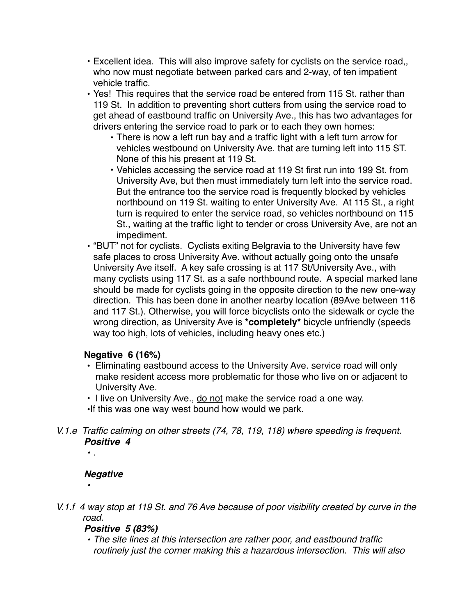- Excellent idea. This will also improve safety for cyclists on the service road,, who now must negotiate between parked cars and 2-way, of ten impatient vehicle traffic.
- Yes! This requires that the service road be entered from 115 St. rather than 119 St. In addition to preventing short cutters from using the service road to get ahead of eastbound traffic on University Ave., this has two advantages for drivers entering the service road to park or to each they own homes:
	- There is now a left run bay and a traffic light with a left turn arrow for vehicles westbound on University Ave. that are turning left into 115 ST. None of this his present at 119 St.
	- Vehicles accessing the service road at 119 St first run into 199 St. from University Ave, but then must immediately turn left into the service road. But the entrance too the service road is frequently blocked by vehicles northbound on 119 St. waiting to enter University Ave. At 115 St., a right turn is required to enter the service road, so vehicles northbound on 115 St., waiting at the traffic light to tender or cross University Ave, are not an impediment.
- "BUT" not for cyclists. Cyclists exiting Belgravia to the University have few safe places to cross University Ave. without actually going onto the unsafe University Ave itself. A key safe crossing is at 117 St/University Ave., with many cyclists using 117 St. as a safe northbound route. A special marked lane should be made for cyclists going in the opposite direction to the new one-way direction. This has been done in another nearby location (89Ave between 116 and 117 St.). Otherwise, you will force bicyclists onto the sidewalk or cycle the wrong direction, as University Ave is **\*completely\*** bicycle unfriendly (speeds way too high, lots of vehicles, including heavy ones etc.)

# **Negative 6 (16%)**

- Eliminating eastbound access to the University Ave. service road will only make resident access more problematic for those who live on or adjacent to University Ave.
- I live on University Ave., do not make the service road a one way.
- •If this was one way west bound how would we park.
- *V.1.e Traffic calming on other streets (74, 78, 119, 118) where speeding is frequent. Positive 4*

## *• .*

# *Negative*

- 
- *V.1.f 4 way stop at 119 St. and 76 Ave because of poor visibility created by curve in the road.*

# *Positive 5 (83%)*

*• The site lines at this intersection are rather poor, and eastbound traffic routinely just the corner making this a hazardous intersection. This will also*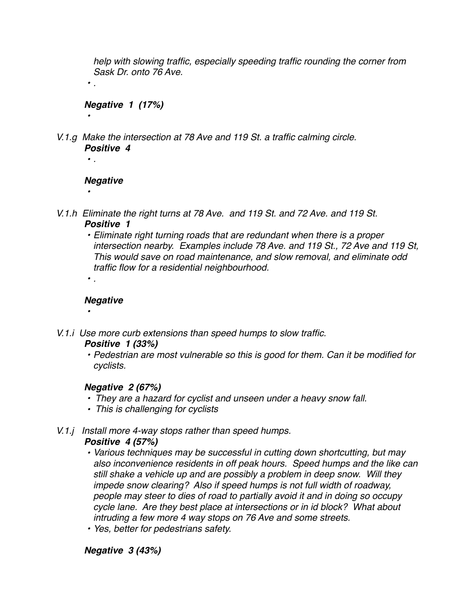*help with slowing traffic, especially speeding traffic rounding the corner from Sask Dr. onto 76 Ave.*

*Negative 1 (17%)*

*V.1.g Make the intersection at 78 Ave and 119 St. a traffic calming circle. Positive 4*

## *Negative*

*•* 

*• .*

*• .*

*•* 

- *V.1.h Eliminate the right turns at 78 Ave. and 119 St. and 72 Ave. and 119 St. Positive 1*
	- *• Eliminate right turning roads that are redundant when there is a proper intersection nearby. Examples include 78 Ave. and 119 St., 72 Ave and 119 St, This would save on road maintenance, and slow removal, and eliminate odd traffic flow for a residential neighbourhood.*
	- *Negative*

*• .*

*•* 

*V.1.i Use more curb extensions than speed humps to slow traffic.*

## *Positive 1 (33%)*

*• Pedestrian are most vulnerable so this is good for them. Can it be modified for cyclists.*

# *Negative 2 (67%)*

- *They are a hazard for cyclist and unseen under a heavy snow fall.*
- *This is challenging for cyclists*
- *V.1.j Install more 4-way stops rather than speed humps.*

## *Positive 4 (57%)*

- *• Various techniques may be successful in cutting down shortcutting, but may also inconvenience residents in off peak hours. Speed humps and the like can still shake a vehicle up and are possibly a problem in deep snow. Will they impede snow clearing? Also if speed humps is not full width of roadway, people may steer to dies of road to partially avoid it and in doing so occupy cycle lane. Are they best place at intersections or in id block? What about intruding a few more 4 way stops on 76 Ave and some streets.*
- *• Yes, better for pedestrians safety.*

# *Negative 3 (43%)*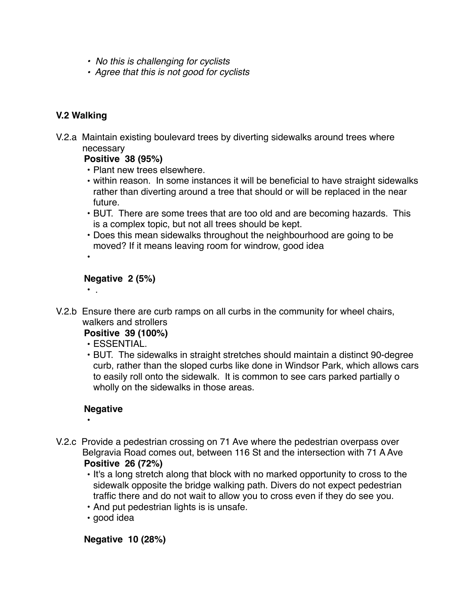- *No this is challenging for cyclists*
- *Agree that this is not good for cyclists*

# **V.2 Walking**

V.2.a Maintain existing boulevard trees by diverting sidewalks around trees where necessary

**Positive 38 (95%)**

- Plant new trees elsewhere.
- within reason. In some instances it will be beneficial to have straight sidewalks rather than diverting around a tree that should or will be replaced in the near future.
- BUT. There are some trees that are too old and are becoming hazards. This is a complex topic, but not all trees should be kept.
- Does this mean sidewalks throughout the neighbourhood are going to be moved? If it means leaving room for windrow, good idea
- •

• .

## **Negative 2 (5%)**

V.2.b Ensure there are curb ramps on all curbs in the community for wheel chairs, walkers and strollers

**Positive 39 (100%)**

- ESSENTIAL.
- BUT. The sidewalks in straight stretches should maintain a distinct 90-degree curb, rather than the sloped curbs like done in Windsor Park, which allows cars to easily roll onto the sidewalk. It is common to see cars parked partially o wholly on the sidewalks in those areas.

# **Negative**

- •
- V.2.c Provide a pedestrian crossing on 71 Ave where the pedestrian overpass over Belgravia Road comes out, between 116 St and the intersection with 71 A Ave **Positive 26 (72%)**
	- It's a long stretch along that block with no marked opportunity to cross to the sidewalk opposite the bridge walking path. Divers do not expect pedestrian traffic there and do not wait to allow you to cross even if they do see you.
	- And put pedestrian lights is is unsafe.
	- good idea

**Negative 10 (28%)**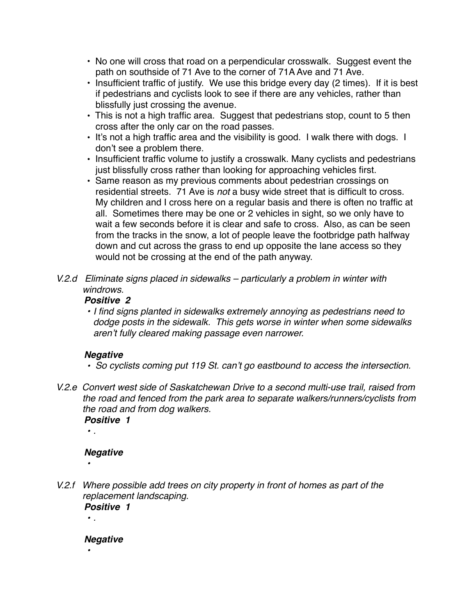- No one will cross that road on a perpendicular crosswalk. Suggest event the path on southside of 71 Ave to the corner of 71A Ave and 71 Ave.
- Insufficient traffic of justify. We use this bridge every day (2 times). If it is best if pedestrians and cyclists look to see if there are any vehicles, rather than blissfully just crossing the avenue.
- This is not a high traffic area. Suggest that pedestrians stop, count to 5 then cross after the only car on the road passes.
- It's not a high traffic area and the visibility is good. I walk there with dogs. I don't see a problem there.
- Insufficient traffic volume to justify a crosswalk. Many cyclists and pedestrians just blissfully cross rather than looking for approaching vehicles first.
- Same reason as my previous comments about pedestrian crossings on residential streets. 71 Ave is *not* a busy wide street that is difficult to cross. My children and I cross here on a regular basis and there is often no traffic at all. Sometimes there may be one or 2 vehicles in sight, so we only have to wait a few seconds before it is clear and safe to cross. Also, as can be seen from the tracks in the snow, a lot of people leave the footbridge path halfway down and cut across the grass to end up opposite the lane access so they would not be crossing at the end of the path anyway.
- *V.2.d Eliminate signs placed in sidewalks particularly a problem in winter with windrows.*

# *Positive 2*

*• I find signs planted in sidewalks extremely annoying as pedestrians need to dodge posts in the sidewalk. This gets worse in winter when some sidewalks aren't fully cleared making passage even narrower.*

# *Negative*

- *So cyclists coming put 119 St. can't go eastbound to access the intersection.*
- *V.2.e Convert west side of Saskatchewan Drive to a second multi-use trail, raised from the road and fenced from the park area to separate walkers/runners/cyclists from the road and from dog walkers.*

*Positive 1 • .*

# *Negative*

*V.2.f Where possible add trees on city property in front of homes as part of the replacement landscaping. Positive 1*

*• .*

*•* 

*•* 

*Negative*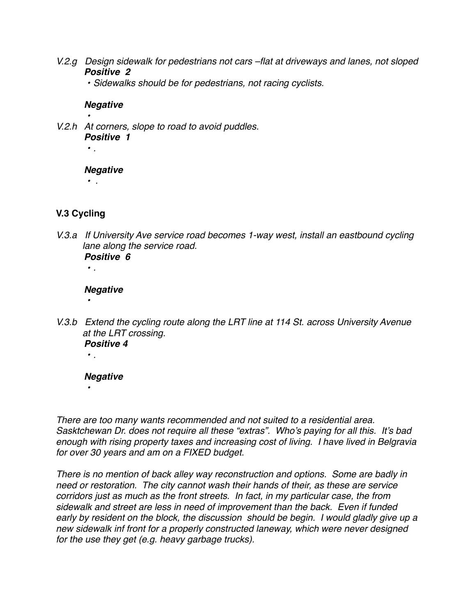*V.2.g Design sidewalk for pedestrians not cars –flat at driveways and lanes, not sloped Positive 2*

*• Sidewalks should be for pedestrians, not racing cyclists.*

#### *Negative*

*• V.2.h At corners, slope to road to avoid puddles. Positive 1 • .*

#### *Negative*

*• .*

**V.3 Cycling**

*V.3.a If University Ave service road becomes 1-way west, install an eastbound cycling lane along the service road. Positive 6*

## *Negative*

*• .*

*•* 

*• .*

*•* 

*V.3.b Extend the cycling route along the LRT line at 114 St. across University Avenue at the LRT crossing. Positive 4*

## *Negative*

*There are too many wants recommended and not suited to a residential area. Sasktchewan Dr. does not require all these "extras". Who's paying for all this. It's bad enough with rising property taxes and increasing cost of living. I have lived in Belgravia for over 30 years and am on a FIXED budget.*

*There is no mention of back alley way reconstruction and options. Some are badly in need or restoration. The city cannot wash their hands of their, as these are service corridors just as much as the front streets. In fact, in my particular case, the from sidewalk and street are less in need of improvement than the back. Even if funded early by resident on the block, the discussion should be begin. I would gladly give up a new sidewalk inf front for a properly constructed laneway, which were never designed for the use they get (e.g. heavy garbage trucks).*